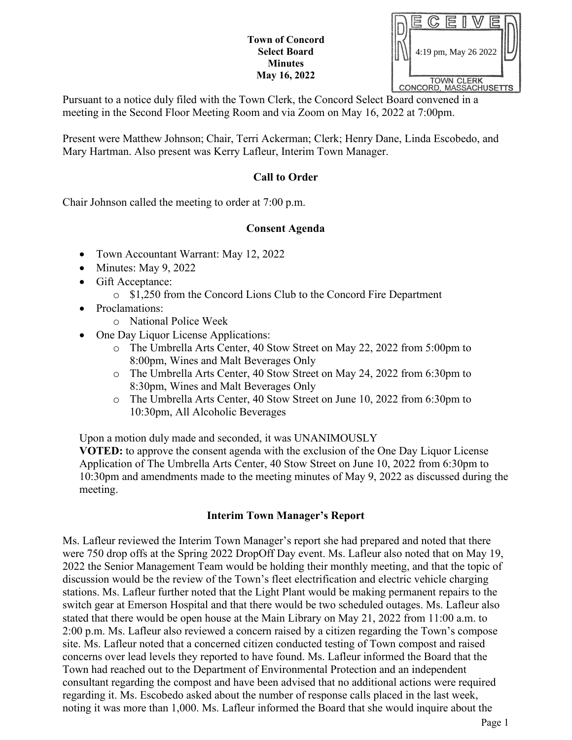|                        |                      |  | $\equiv$ |  |  |  |  |
|------------------------|----------------------|--|----------|--|--|--|--|
|                        | 4:19 pm, May 26 2022 |  |          |  |  |  |  |
|                        |                      |  |          |  |  |  |  |
|                        |                      |  |          |  |  |  |  |
| <b>TOWN CLERK</b>      |                      |  |          |  |  |  |  |
| CONCORD, MASSACHUSETTS |                      |  |          |  |  |  |  |

Pursuant to a notice duly filed with the Town Clerk, the Concord Select Board convened in a meeting in the Second Floor Meeting Room and via Zoom on May 16, 2022 at 7:00pm.

Present were Matthew Johnson; Chair, Terri Ackerman; Clerk; Henry Dane, Linda Escobedo, and Mary Hartman. Also present was Kerry Lafleur, Interim Town Manager.

# **Call to Order**

Chair Johnson called the meeting to order at 7:00 p.m.

## **Consent Agenda**

- Town Accountant Warrant: May 12, 2022
- Minutes: May 9, 2022
- Gift Acceptance:
	- o \$1,250 from the Concord Lions Club to the Concord Fire Department
- Proclamations:
	- o National Police Week
- One Day Liquor License Applications:
	- o The Umbrella Arts Center, 40 Stow Street on May 22, 2022 from 5:00pm to 8:00pm, Wines and Malt Beverages Only
	- o The Umbrella Arts Center, 40 Stow Street on May 24, 2022 from 6:30pm to 8:30pm, Wines and Malt Beverages Only
	- o The Umbrella Arts Center, 40 Stow Street on June 10, 2022 from 6:30pm to 10:30pm, All Alcoholic Beverages

Upon a motion duly made and seconded, it was UNANIMOUSLY **VOTED:** to approve the consent agenda with the exclusion of the One Day Liquor License Application of The Umbrella Arts Center, 40 Stow Street on June 10, 2022 from 6:30pm to 10:30pm and amendments made to the meeting minutes of May 9, 2022 as discussed during the meeting.

# **Interim Town Manager's Report**

Ms. Lafleur reviewed the Interim Town Manager's report she had prepared and noted that there were 750 drop offs at the Spring 2022 DropOff Day event. Ms. Lafleur also noted that on May 19, 2022 the Senior Management Team would be holding their monthly meeting, and that the topic of discussion would be the review of the Town's fleet electrification and electric vehicle charging stations. Ms. Lafleur further noted that the Light Plant would be making permanent repairs to the switch gear at Emerson Hospital and that there would be two scheduled outages. Ms. Lafleur also stated that there would be open house at the Main Library on May 21, 2022 from 11:00 a.m. to 2:00 p.m. Ms. Lafleur also reviewed a concern raised by a citizen regarding the Town's compose site. Ms. Lafleur noted that a concerned citizen conducted testing of Town compost and raised concerns over lead levels they reported to have found. Ms. Lafleur informed the Board that the Town had reached out to the Department of Environmental Protection and an independent consultant regarding the compost and have been advised that no additional actions were required regarding it. Ms. Escobedo asked about the number of response calls placed in the last week, noting it was more than 1,000. Ms. Lafleur informed the Board that she would inquire about the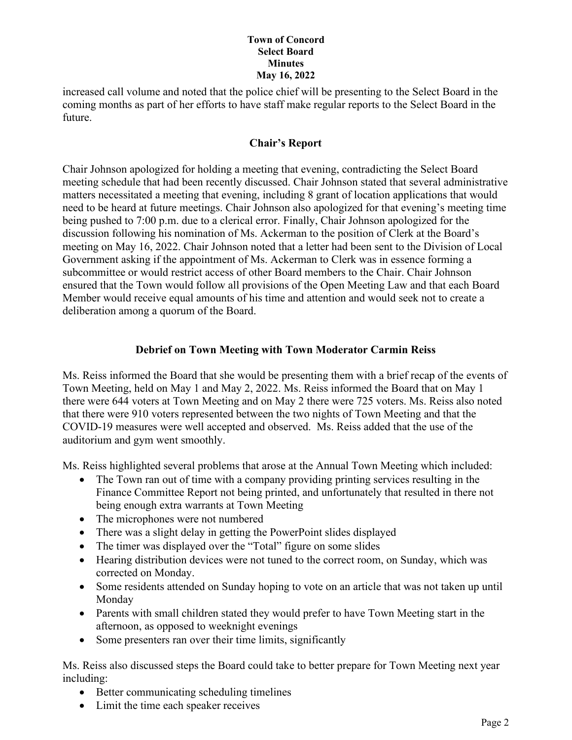increased call volume and noted that the police chief will be presenting to the Select Board in the coming months as part of her efforts to have staff make regular reports to the Select Board in the future.

## **Chair's Report**

Chair Johnson apologized for holding a meeting that evening, contradicting the Select Board meeting schedule that had been recently discussed. Chair Johnson stated that several administrative matters necessitated a meeting that evening, including 8 grant of location applications that would need to be heard at future meetings. Chair Johnson also apologized for that evening's meeting time being pushed to 7:00 p.m. due to a clerical error. Finally, Chair Johnson apologized for the discussion following his nomination of Ms. Ackerman to the position of Clerk at the Board's meeting on May 16, 2022. Chair Johnson noted that a letter had been sent to the Division of Local Government asking if the appointment of Ms. Ackerman to Clerk was in essence forming a subcommittee or would restrict access of other Board members to the Chair. Chair Johnson ensured that the Town would follow all provisions of the Open Meeting Law and that each Board Member would receive equal amounts of his time and attention and would seek not to create a deliberation among a quorum of the Board.

## **Debrief on Town Meeting with Town Moderator Carmin Reiss**

Ms. Reiss informed the Board that she would be presenting them with a brief recap of the events of Town Meeting, held on May 1 and May 2, 2022. Ms. Reiss informed the Board that on May 1 there were 644 voters at Town Meeting and on May 2 there were 725 voters. Ms. Reiss also noted that there were 910 voters represented between the two nights of Town Meeting and that the COVID-19 measures were well accepted and observed. Ms. Reiss added that the use of the auditorium and gym went smoothly.

Ms. Reiss highlighted several problems that arose at the Annual Town Meeting which included:

- The Town ran out of time with a company providing printing services resulting in the Finance Committee Report not being printed, and unfortunately that resulted in there not being enough extra warrants at Town Meeting
- The microphones were not numbered
- There was a slight delay in getting the PowerPoint slides displayed
- The timer was displayed over the "Total" figure on some slides
- Hearing distribution devices were not tuned to the correct room, on Sunday, which was corrected on Monday.
- Some residents attended on Sunday hoping to vote on an article that was not taken up until Monday
- Parents with small children stated they would prefer to have Town Meeting start in the afternoon, as opposed to weeknight evenings
- Some presenters ran over their time limits, significantly

Ms. Reiss also discussed steps the Board could take to better prepare for Town Meeting next year including:

- Better communicating scheduling timelines
- Limit the time each speaker receives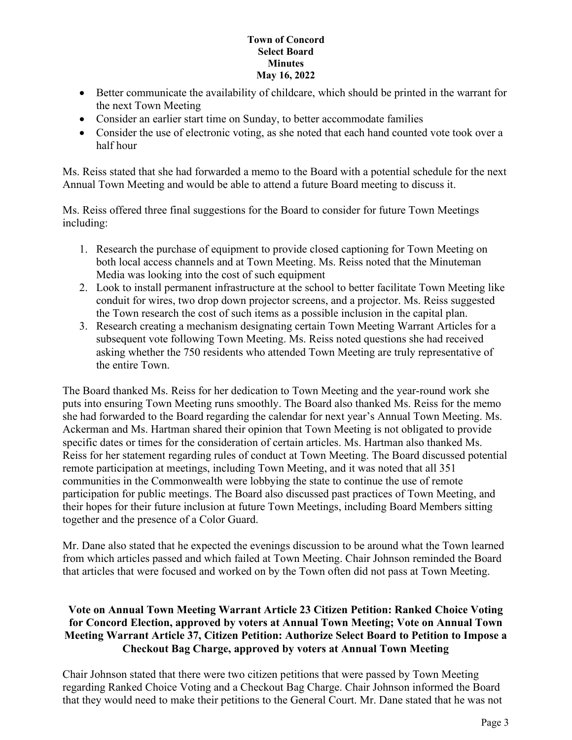- Better communicate the availability of childcare, which should be printed in the warrant for the next Town Meeting
- Consider an earlier start time on Sunday, to better accommodate families
- Consider the use of electronic voting, as she noted that each hand counted vote took over a half hour

Ms. Reiss stated that she had forwarded a memo to the Board with a potential schedule for the next Annual Town Meeting and would be able to attend a future Board meeting to discuss it.

Ms. Reiss offered three final suggestions for the Board to consider for future Town Meetings including:

- 1. Research the purchase of equipment to provide closed captioning for Town Meeting on both local access channels and at Town Meeting. Ms. Reiss noted that the Minuteman Media was looking into the cost of such equipment
- 2. Look to install permanent infrastructure at the school to better facilitate Town Meeting like conduit for wires, two drop down projector screens, and a projector. Ms. Reiss suggested the Town research the cost of such items as a possible inclusion in the capital plan.
- 3. Research creating a mechanism designating certain Town Meeting Warrant Articles for a subsequent vote following Town Meeting. Ms. Reiss noted questions she had received asking whether the 750 residents who attended Town Meeting are truly representative of the entire Town.

The Board thanked Ms. Reiss for her dedication to Town Meeting and the year-round work she puts into ensuring Town Meeting runs smoothly. The Board also thanked Ms. Reiss for the memo she had forwarded to the Board regarding the calendar for next year's Annual Town Meeting. Ms. Ackerman and Ms. Hartman shared their opinion that Town Meeting is not obligated to provide specific dates or times for the consideration of certain articles. Ms. Hartman also thanked Ms. Reiss for her statement regarding rules of conduct at Town Meeting. The Board discussed potential remote participation at meetings, including Town Meeting, and it was noted that all 351 communities in the Commonwealth were lobbying the state to continue the use of remote participation for public meetings. The Board also discussed past practices of Town Meeting, and their hopes for their future inclusion at future Town Meetings, including Board Members sitting together and the presence of a Color Guard.

Mr. Dane also stated that he expected the evenings discussion to be around what the Town learned from which articles passed and which failed at Town Meeting. Chair Johnson reminded the Board that articles that were focused and worked on by the Town often did not pass at Town Meeting.

## **Vote on Annual Town Meeting Warrant Article 23 Citizen Petition: Ranked Choice Voting for Concord Election, approved by voters at Annual Town Meeting; Vote on Annual Town Meeting Warrant Article 37, Citizen Petition: Authorize Select Board to Petition to Impose a Checkout Bag Charge, approved by voters at Annual Town Meeting**

Chair Johnson stated that there were two citizen petitions that were passed by Town Meeting regarding Ranked Choice Voting and a Checkout Bag Charge. Chair Johnson informed the Board that they would need to make their petitions to the General Court. Mr. Dane stated that he was not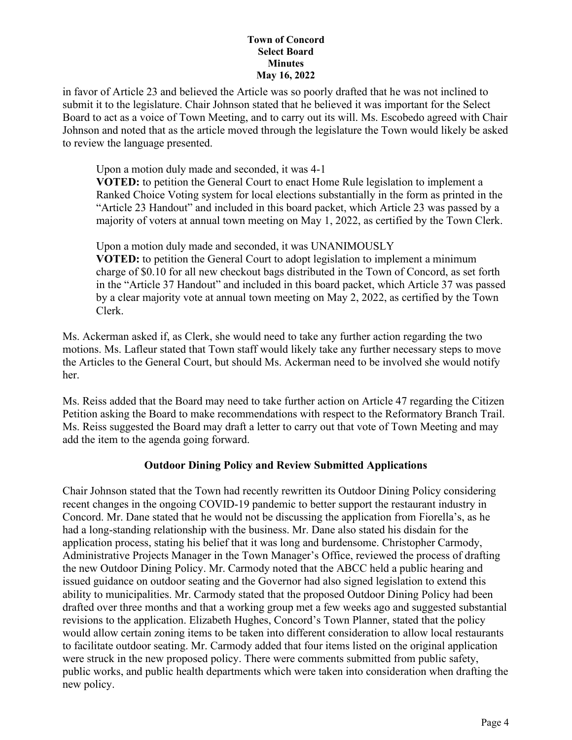in favor of Article 23 and believed the Article was so poorly drafted that he was not inclined to submit it to the legislature. Chair Johnson stated that he believed it was important for the Select Board to act as a voice of Town Meeting, and to carry out its will. Ms. Escobedo agreed with Chair Johnson and noted that as the article moved through the legislature the Town would likely be asked to review the language presented.

Upon a motion duly made and seconded, it was 4-1

**VOTED:** to petition the General Court to enact Home Rule legislation to implement a Ranked Choice Voting system for local elections substantially in the form as printed in the "Article 23 Handout" and included in this board packet, which Article 23 was passed by a majority of voters at annual town meeting on May 1, 2022, as certified by the Town Clerk.

Upon a motion duly made and seconded, it was UNANIMOUSLY

**VOTED:** to petition the General Court to adopt legislation to implement a minimum charge of \$0.10 for all new checkout bags distributed in the Town of Concord, as set forth in the "Article 37 Handout" and included in this board packet, which Article 37 was passed by a clear majority vote at annual town meeting on May 2, 2022, as certified by the Town Clerk.

Ms. Ackerman asked if, as Clerk, she would need to take any further action regarding the two motions. Ms. Lafleur stated that Town staff would likely take any further necessary steps to move the Articles to the General Court, but should Ms. Ackerman need to be involved she would notify her.

Ms. Reiss added that the Board may need to take further action on Article 47 regarding the Citizen Petition asking the Board to make recommendations with respect to the Reformatory Branch Trail. Ms. Reiss suggested the Board may draft a letter to carry out that vote of Town Meeting and may add the item to the agenda going forward.

## **Outdoor Dining Policy and Review Submitted Applications**

Chair Johnson stated that the Town had recently rewritten its Outdoor Dining Policy considering recent changes in the ongoing COVID-19 pandemic to better support the restaurant industry in Concord. Mr. Dane stated that he would not be discussing the application from Fiorella's, as he had a long-standing relationship with the business. Mr. Dane also stated his disdain for the application process, stating his belief that it was long and burdensome. Christopher Carmody, Administrative Projects Manager in the Town Manager's Office, reviewed the process of drafting the new Outdoor Dining Policy. Mr. Carmody noted that the ABCC held a public hearing and issued guidance on outdoor seating and the Governor had also signed legislation to extend this ability to municipalities. Mr. Carmody stated that the proposed Outdoor Dining Policy had been drafted over three months and that a working group met a few weeks ago and suggested substantial revisions to the application. Elizabeth Hughes, Concord's Town Planner, stated that the policy would allow certain zoning items to be taken into different consideration to allow local restaurants to facilitate outdoor seating. Mr. Carmody added that four items listed on the original application were struck in the new proposed policy. There were comments submitted from public safety, public works, and public health departments which were taken into consideration when drafting the new policy.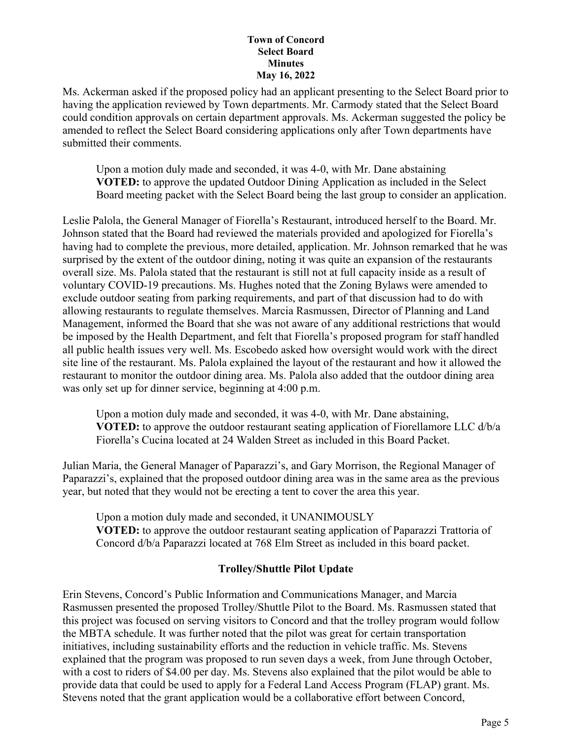Ms. Ackerman asked if the proposed policy had an applicant presenting to the Select Board prior to having the application reviewed by Town departments. Mr. Carmody stated that the Select Board could condition approvals on certain department approvals. Ms. Ackerman suggested the policy be amended to reflect the Select Board considering applications only after Town departments have submitted their comments.

Upon a motion duly made and seconded, it was 4-0, with Mr. Dane abstaining **VOTED:** to approve the updated Outdoor Dining Application as included in the Select Board meeting packet with the Select Board being the last group to consider an application.

Leslie Palola, the General Manager of Fiorella's Restaurant, introduced herself to the Board. Mr. Johnson stated that the Board had reviewed the materials provided and apologized for Fiorella's having had to complete the previous, more detailed, application. Mr. Johnson remarked that he was surprised by the extent of the outdoor dining, noting it was quite an expansion of the restaurants overall size. Ms. Palola stated that the restaurant is still not at full capacity inside as a result of voluntary COVID-19 precautions. Ms. Hughes noted that the Zoning Bylaws were amended to exclude outdoor seating from parking requirements, and part of that discussion had to do with allowing restaurants to regulate themselves. Marcia Rasmussen, Director of Planning and Land Management, informed the Board that she was not aware of any additional restrictions that would be imposed by the Health Department, and felt that Fiorella's proposed program for staff handled all public health issues very well. Ms. Escobedo asked how oversight would work with the direct site line of the restaurant. Ms. Palola explained the layout of the restaurant and how it allowed the restaurant to monitor the outdoor dining area. Ms. Palola also added that the outdoor dining area was only set up for dinner service, beginning at 4:00 p.m.

Upon a motion duly made and seconded, it was 4-0, with Mr. Dane abstaining, **VOTED:** to approve the outdoor restaurant seating application of Fiorellamore LLC d/b/a Fiorella's Cucina located at 24 Walden Street as included in this Board Packet.

Julian Maria, the General Manager of Paparazzi's, and Gary Morrison, the Regional Manager of Paparazzi's, explained that the proposed outdoor dining area was in the same area as the previous year, but noted that they would not be erecting a tent to cover the area this year.

Upon a motion duly made and seconded, it UNANIMOUSLY

**VOTED:** to approve the outdoor restaurant seating application of Paparazzi Trattoria of Concord d/b/a Paparazzi located at 768 Elm Street as included in this board packet.

## **Trolley/Shuttle Pilot Update**

Erin Stevens, Concord's Public Information and Communications Manager, and Marcia Rasmussen presented the proposed Trolley/Shuttle Pilot to the Board. Ms. Rasmussen stated that this project was focused on serving visitors to Concord and that the trolley program would follow the MBTA schedule. It was further noted that the pilot was great for certain transportation initiatives, including sustainability efforts and the reduction in vehicle traffic. Ms. Stevens explained that the program was proposed to run seven days a week, from June through October, with a cost to riders of \$4.00 per day. Ms. Stevens also explained that the pilot would be able to provide data that could be used to apply for a Federal Land Access Program (FLAP) grant. Ms. Stevens noted that the grant application would be a collaborative effort between Concord,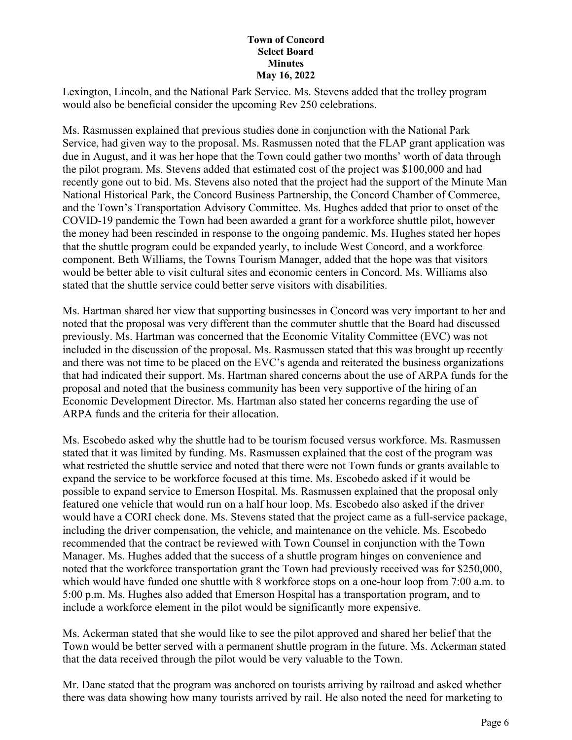Lexington, Lincoln, and the National Park Service. Ms. Stevens added that the trolley program would also be beneficial consider the upcoming Rev 250 celebrations.

Ms. Rasmussen explained that previous studies done in conjunction with the National Park Service, had given way to the proposal. Ms. Rasmussen noted that the FLAP grant application was due in August, and it was her hope that the Town could gather two months' worth of data through the pilot program. Ms. Stevens added that estimated cost of the project was \$100,000 and had recently gone out to bid. Ms. Stevens also noted that the project had the support of the Minute Man National Historical Park, the Concord Business Partnership, the Concord Chamber of Commerce, and the Town's Transportation Advisory Committee. Ms. Hughes added that prior to onset of the COVID-19 pandemic the Town had been awarded a grant for a workforce shuttle pilot, however the money had been rescinded in response to the ongoing pandemic. Ms. Hughes stated her hopes that the shuttle program could be expanded yearly, to include West Concord, and a workforce component. Beth Williams, the Towns Tourism Manager, added that the hope was that visitors would be better able to visit cultural sites and economic centers in Concord. Ms. Williams also stated that the shuttle service could better serve visitors with disabilities.

Ms. Hartman shared her view that supporting businesses in Concord was very important to her and noted that the proposal was very different than the commuter shuttle that the Board had discussed previously. Ms. Hartman was concerned that the Economic Vitality Committee (EVC) was not included in the discussion of the proposal. Ms. Rasmussen stated that this was brought up recently and there was not time to be placed on the EVC's agenda and reiterated the business organizations that had indicated their support. Ms. Hartman shared concerns about the use of ARPA funds for the proposal and noted that the business community has been very supportive of the hiring of an Economic Development Director. Ms. Hartman also stated her concerns regarding the use of ARPA funds and the criteria for their allocation.

Ms. Escobedo asked why the shuttle had to be tourism focused versus workforce. Ms. Rasmussen stated that it was limited by funding. Ms. Rasmussen explained that the cost of the program was what restricted the shuttle service and noted that there were not Town funds or grants available to expand the service to be workforce focused at this time. Ms. Escobedo asked if it would be possible to expand service to Emerson Hospital. Ms. Rasmussen explained that the proposal only featured one vehicle that would run on a half hour loop. Ms. Escobedo also asked if the driver would have a CORI check done. Ms. Stevens stated that the project came as a full-service package, including the driver compensation, the vehicle, and maintenance on the vehicle. Ms. Escobedo recommended that the contract be reviewed with Town Counsel in conjunction with the Town Manager. Ms. Hughes added that the success of a shuttle program hinges on convenience and noted that the workforce transportation grant the Town had previously received was for \$250,000, which would have funded one shuttle with 8 workforce stops on a one-hour loop from 7:00 a.m. to 5:00 p.m. Ms. Hughes also added that Emerson Hospital has a transportation program, and to include a workforce element in the pilot would be significantly more expensive.

Ms. Ackerman stated that she would like to see the pilot approved and shared her belief that the Town would be better served with a permanent shuttle program in the future. Ms. Ackerman stated that the data received through the pilot would be very valuable to the Town.

Mr. Dane stated that the program was anchored on tourists arriving by railroad and asked whether there was data showing how many tourists arrived by rail. He also noted the need for marketing to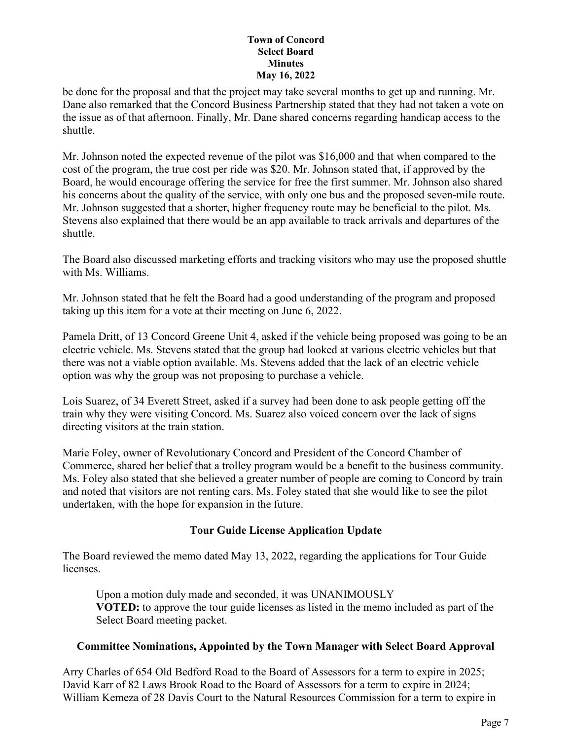be done for the proposal and that the project may take several months to get up and running. Mr. Dane also remarked that the Concord Business Partnership stated that they had not taken a vote on the issue as of that afternoon. Finally, Mr. Dane shared concerns regarding handicap access to the shuttle.

Mr. Johnson noted the expected revenue of the pilot was \$16,000 and that when compared to the cost of the program, the true cost per ride was \$20. Mr. Johnson stated that, if approved by the Board, he would encourage offering the service for free the first summer. Mr. Johnson also shared his concerns about the quality of the service, with only one bus and the proposed seven-mile route. Mr. Johnson suggested that a shorter, higher frequency route may be beneficial to the pilot. Ms. Stevens also explained that there would be an app available to track arrivals and departures of the shuttle.

The Board also discussed marketing efforts and tracking visitors who may use the proposed shuttle with Ms. Williams.

Mr. Johnson stated that he felt the Board had a good understanding of the program and proposed taking up this item for a vote at their meeting on June 6, 2022.

Pamela Dritt, of 13 Concord Greene Unit 4, asked if the vehicle being proposed was going to be an electric vehicle. Ms. Stevens stated that the group had looked at various electric vehicles but that there was not a viable option available. Ms. Stevens added that the lack of an electric vehicle option was why the group was not proposing to purchase a vehicle.

Lois Suarez, of 34 Everett Street, asked if a survey had been done to ask people getting off the train why they were visiting Concord. Ms. Suarez also voiced concern over the lack of signs directing visitors at the train station.

Marie Foley, owner of Revolutionary Concord and President of the Concord Chamber of Commerce, shared her belief that a trolley program would be a benefit to the business community. Ms. Foley also stated that she believed a greater number of people are coming to Concord by train and noted that visitors are not renting cars. Ms. Foley stated that she would like to see the pilot undertaken, with the hope for expansion in the future.

## **Tour Guide License Application Update**

The Board reviewed the memo dated May 13, 2022, regarding the applications for Tour Guide licenses.

Upon a motion duly made and seconded, it was UNANIMOUSLY **VOTED:** to approve the tour guide licenses as listed in the memo included as part of the Select Board meeting packet.

## **Committee Nominations, Appointed by the Town Manager with Select Board Approval**

Arry Charles of 654 Old Bedford Road to the Board of Assessors for a term to expire in 2025; David Karr of 82 Laws Brook Road to the Board of Assessors for a term to expire in 2024; William Kemeza of 28 Davis Court to the Natural Resources Commission for a term to expire in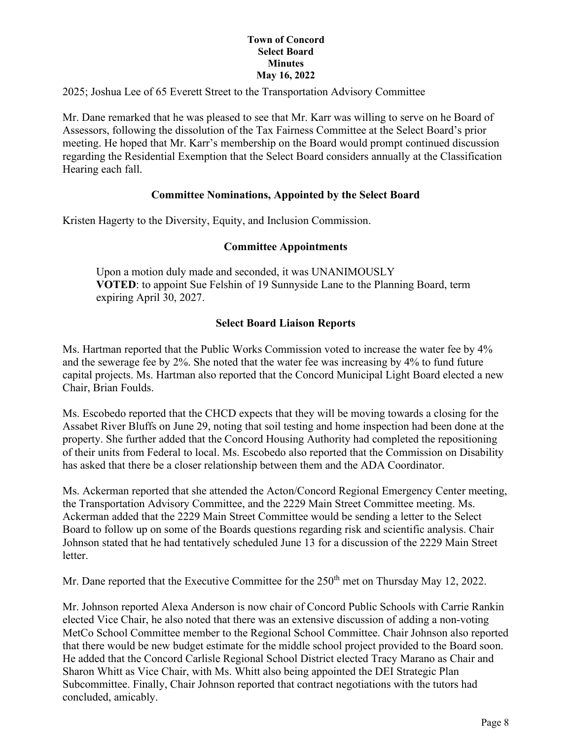2025; Joshua Lee of 65 Everett Street to the Transportation Advisory Committee

Mr. Dane remarked that he was pleased to see that Mr. Karr was willing to serve on he Board of Assessors, following the dissolution of the Tax Fairness Committee at the Select Board's prior meeting. He hoped that Mr. Karr's membership on the Board would prompt continued discussion regarding the Residential Exemption that the Select Board considers annually at the Classification Hearing each fall.

### **Committee Nominations, Appointed by the Select Board**

Kristen Hagerty to the Diversity, Equity, and Inclusion Commission.

### **Committee Appointments**

Upon a motion duly made and seconded, it was UNANIMOUSLY **VOTED**: to appoint Sue Felshin of 19 Sunnyside Lane to the Planning Board, term expiring April 30, 2027.

## **Select Board Liaison Reports**

Ms. Hartman reported that the Public Works Commission voted to increase the water fee by 4% and the sewerage fee by 2%. She noted that the water fee was increasing by 4% to fund future capital projects. Ms. Hartman also reported that the Concord Municipal Light Board elected a new Chair, Brian Foulds.

Ms. Escobedo reported that the CHCD expects that they will be moving towards a closing for the Assabet River Bluffs on June 29, noting that soil testing and home inspection had been done at the property. She further added that the Concord Housing Authority had completed the repositioning of their units from Federal to local. Ms. Escobedo also reported that the Commission on Disability has asked that there be a closer relationship between them and the ADA Coordinator.

Ms. Ackerman reported that she attended the Acton/Concord Regional Emergency Center meeting, the Transportation Advisory Committee, and the 2229 Main Street Committee meeting. Ms. Ackerman added that the 2229 Main Street Committee would be sending a letter to the Select Board to follow up on some of the Boards questions regarding risk and scientific analysis. Chair Johnson stated that he had tentatively scheduled June 13 for a discussion of the 2229 Main Street letter.

Mr. Dane reported that the Executive Committee for the 250<sup>th</sup> met on Thursday May 12, 2022.

Mr. Johnson reported Alexa Anderson is now chair of Concord Public Schools with Carrie Rankin elected Vice Chair, he also noted that there was an extensive discussion of adding a non-voting MetCo School Committee member to the Regional School Committee. Chair Johnson also reported that there would be new budget estimate for the middle school project provided to the Board soon. He added that the Concord Carlisle Regional School District elected Tracy Marano as Chair and Sharon Whitt as Vice Chair, with Ms. Whitt also being appointed the DEI Strategic Plan Subcommittee. Finally, Chair Johnson reported that contract negotiations with the tutors had concluded, amicably.